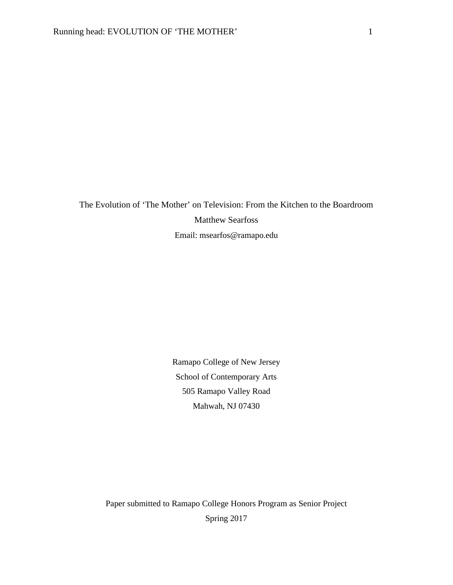The Evolution of 'The Mother' on Television: From the Kitchen to the Boardroom Matthew Searfoss Email: msearfos@ramapo.edu

> Ramapo College of New Jersey School of Contemporary Arts 505 Ramapo Valley Road Mahwah, NJ 07430

Paper submitted to Ramapo College Honors Program as Senior Project Spring 2017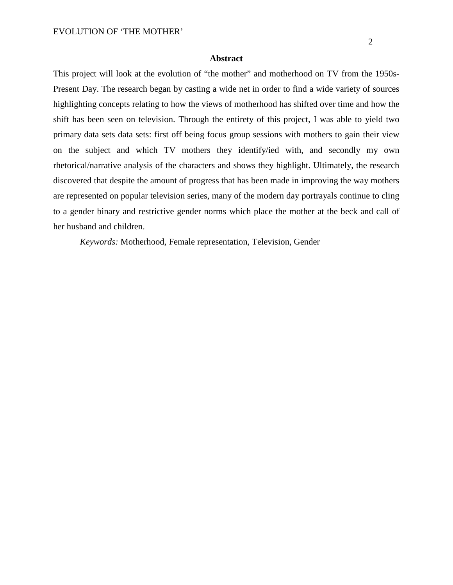## **Abstract**

This project will look at the evolution of "the mother" and motherhood on TV from the 1950s-Present Day. The research began by casting a wide net in order to find a wide variety of sources highlighting concepts relating to how the views of motherhood has shifted over time and how the shift has been seen on television. Through the entirety of this project, I was able to yield two primary data sets data sets: first off being focus group sessions with mothers to gain their view on the subject and which TV mothers they identify/ied with, and secondly my own rhetorical/narrative analysis of the characters and shows they highlight. Ultimately, the research discovered that despite the amount of progress that has been made in improving the way mothers are represented on popular television series, many of the modern day portrayals continue to cling to a gender binary and restrictive gender norms which place the mother at the beck and call of her husband and children.

*Keywords:* Motherhood, Female representation, Television, Gender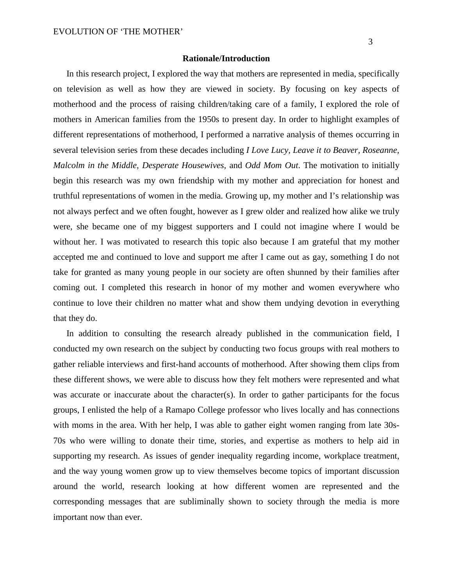#### **Rationale/Introduction**

In this research project, I explored the way that mothers are represented in media, specifically on television as well as how they are viewed in society. By focusing on key aspects of motherhood and the process of raising children/taking care of a family, I explored the role of mothers in American families from the 1950s to present day. In order to highlight examples of different representations of motherhood, I performed a narrative analysis of themes occurring in several television series from these decades including *I Love Lucy, Leave it to Beaver, Roseanne, Malcolm in the Middle, Desperate Housewives,* and *Odd Mom Out*. The motivation to initially begin this research was my own friendship with my mother and appreciation for honest and truthful representations of women in the media. Growing up, my mother and I's relationship was not always perfect and we often fought, however as I grew older and realized how alike we truly were, she became one of my biggest supporters and I could not imagine where I would be without her. I was motivated to research this topic also because I am grateful that my mother accepted me and continued to love and support me after I came out as gay, something I do not take for granted as many young people in our society are often shunned by their families after coming out. I completed this research in honor of my mother and women everywhere who continue to love their children no matter what and show them undying devotion in everything that they do.

In addition to consulting the research already published in the communication field, I conducted my own research on the subject by conducting two focus groups with real mothers to gather reliable interviews and first-hand accounts of motherhood. After showing them clips from these different shows, we were able to discuss how they felt mothers were represented and what was accurate or inaccurate about the character(s). In order to gather participants for the focus groups, I enlisted the help of a Ramapo College professor who lives locally and has connections with moms in the area. With her help, I was able to gather eight women ranging from late 30s-70s who were willing to donate their time, stories, and expertise as mothers to help aid in supporting my research. As issues of gender inequality regarding income, workplace treatment, and the way young women grow up to view themselves become topics of important discussion around the world, research looking at how different women are represented and the corresponding messages that are subliminally shown to society through the media is more important now than ever.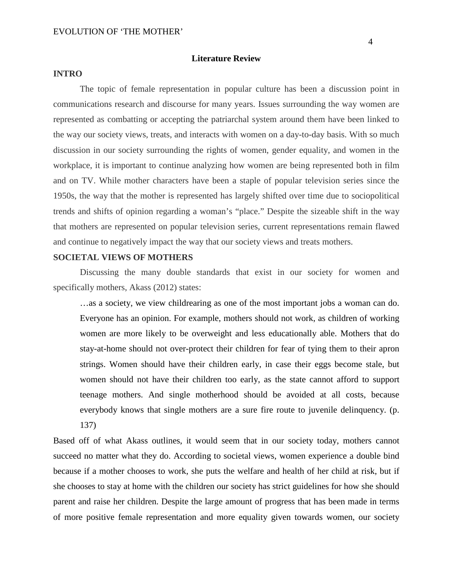### **Literature Review**

## **INTRO**

The topic of female representation in popular culture has been a discussion point in communications research and discourse for many years. Issues surrounding the way women are represented as combatting or accepting the patriarchal system around them have been linked to the way our society views, treats, and interacts with women on a day-to-day basis. With so much discussion in our society surrounding the rights of women, gender equality, and women in the workplace, it is important to continue analyzing how women are being represented both in film and on TV. While mother characters have been a staple of popular television series since the 1950s, the way that the mother is represented has largely shifted over time due to sociopolitical trends and shifts of opinion regarding a woman's "place." Despite the sizeable shift in the way that mothers are represented on popular television series, current representations remain flawed and continue to negatively impact the way that our society views and treats mothers.

# **SOCIETAL VIEWS OF MOTHERS**

Discussing the many double standards that exist in our society for women and specifically mothers, Akass (2012) states:

…as a society, we view childrearing as one of the most important jobs a woman can do. Everyone has an opinion. For example, mothers should not work, as children of working women are more likely to be overweight and less educationally able. Mothers that do stay-at-home should not over-protect their children for fear of tying them to their apron strings. Women should have their children early, in case their eggs become stale, but women should not have their children too early, as the state cannot afford to support teenage mothers. And single motherhood should be avoided at all costs, because everybody knows that single mothers are a sure fire route to juvenile delinquency. (p. 137)

Based off of what Akass outlines, it would seem that in our society today, mothers cannot succeed no matter what they do. According to societal views, women experience a double bind because if a mother chooses to work, she puts the welfare and health of her child at risk, but if she chooses to stay at home with the children our society has strict guidelines for how she should parent and raise her children. Despite the large amount of progress that has been made in terms of more positive female representation and more equality given towards women, our society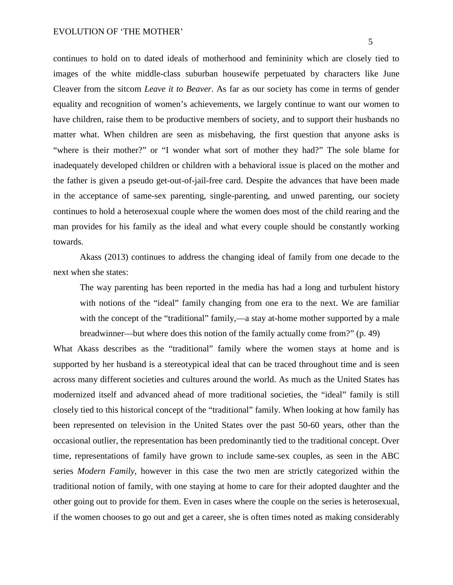continues to hold on to dated ideals of motherhood and femininity which are closely tied to images of the white middle-class suburban housewife perpetuated by characters like June Cleaver from the sitcom *Leave it to Beaver*. As far as our society has come in terms of gender equality and recognition of women's achievements, we largely continue to want our women to have children, raise them to be productive members of society, and to support their husbands no matter what. When children are seen as misbehaving, the first question that anyone asks is "where is their mother?" or "I wonder what sort of mother they had?" The sole blame for inadequately developed children or children with a behavioral issue is placed on the mother and the father is given a pseudo get-out-of-jail-free card. Despite the advances that have been made in the acceptance of same-sex parenting, single-parenting, and unwed parenting, our society continues to hold a heterosexual couple where the women does most of the child rearing and the man provides for his family as the ideal and what every couple should be constantly working towards.

Akass (2013) continues to address the changing ideal of family from one decade to the next when she states:

The way parenting has been reported in the media has had a long and turbulent history with notions of the "ideal" family changing from one era to the next. We are familiar with the concept of the "traditional" family,—a stay at-home mother supported by a male breadwinner—but where does this notion of the family actually come from?" (p. 49)

What Akass describes as the "traditional" family where the women stays at home and is supported by her husband is a stereotypical ideal that can be traced throughout time and is seen across many different societies and cultures around the world. As much as the United States has modernized itself and advanced ahead of more traditional societies, the "ideal" family is still closely tied to this historical concept of the "traditional" family. When looking at how family has been represented on television in the United States over the past 50-60 years, other than the occasional outlier, the representation has been predominantly tied to the traditional concept. Over time, representations of family have grown to include same-sex couples, as seen in the ABC series *Modern Family*, however in this case the two men are strictly categorized within the traditional notion of family, with one staying at home to care for their adopted daughter and the other going out to provide for them. Even in cases where the couple on the series is heterosexual, if the women chooses to go out and get a career, she is often times noted as making considerably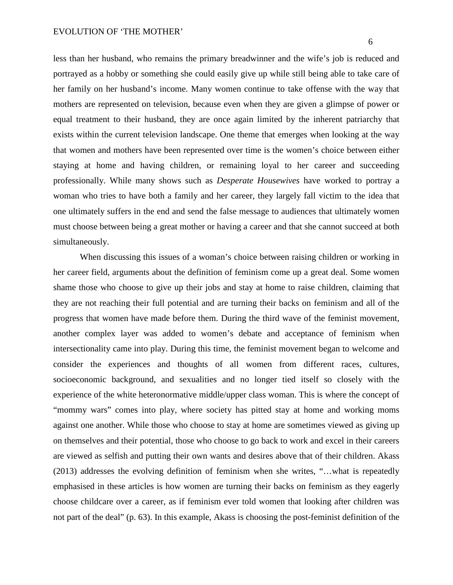less than her husband, who remains the primary breadwinner and the wife's job is reduced and portrayed as a hobby or something she could easily give up while still being able to take care of her family on her husband's income. Many women continue to take offense with the way that mothers are represented on television, because even when they are given a glimpse of power or equal treatment to their husband, they are once again limited by the inherent patriarchy that exists within the current television landscape. One theme that emerges when looking at the way that women and mothers have been represented over time is the women's choice between either staying at home and having children, or remaining loyal to her career and succeeding professionally. While many shows such as *Desperate Housewives* have worked to portray a woman who tries to have both a family and her career, they largely fall victim to the idea that one ultimately suffers in the end and send the false message to audiences that ultimately women must choose between being a great mother or having a career and that she cannot succeed at both simultaneously.

When discussing this issues of a woman's choice between raising children or working in her career field, arguments about the definition of feminism come up a great deal. Some women shame those who choose to give up their jobs and stay at home to raise children, claiming that they are not reaching their full potential and are turning their backs on feminism and all of the progress that women have made before them. During the third wave of the feminist movement, another complex layer was added to women's debate and acceptance of feminism when intersectionality came into play. During this time, the feminist movement began to welcome and consider the experiences and thoughts of all women from different races, cultures, socioeconomic background, and sexualities and no longer tied itself so closely with the experience of the white heteronormative middle/upper class woman. This is where the concept of "mommy wars" comes into play, where society has pitted stay at home and working moms against one another. While those who choose to stay at home are sometimes viewed as giving up on themselves and their potential, those who choose to go back to work and excel in their careers are viewed as selfish and putting their own wants and desires above that of their children. Akass (2013) addresses the evolving definition of feminism when she writes, "…what is repeatedly emphasised in these articles is how women are turning their backs on feminism as they eagerly choose childcare over a career, as if feminism ever told women that looking after children was not part of the deal" (p. 63). In this example, Akass is choosing the post-feminist definition of the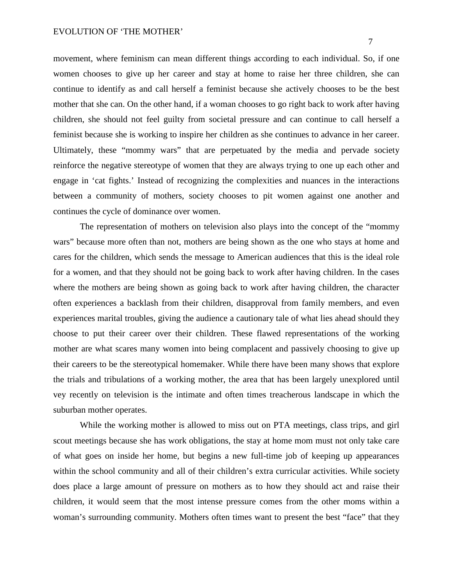7

movement, where feminism can mean different things according to each individual. So, if one women chooses to give up her career and stay at home to raise her three children, she can continue to identify as and call herself a feminist because she actively chooses to be the best mother that she can. On the other hand, if a woman chooses to go right back to work after having children, she should not feel guilty from societal pressure and can continue to call herself a feminist because she is working to inspire her children as she continues to advance in her career. Ultimately, these "mommy wars" that are perpetuated by the media and pervade society reinforce the negative stereotype of women that they are always trying to one up each other and engage in 'cat fights.' Instead of recognizing the complexities and nuances in the interactions between a community of mothers, society chooses to pit women against one another and continues the cycle of dominance over women.

The representation of mothers on television also plays into the concept of the "mommy wars" because more often than not, mothers are being shown as the one who stays at home and cares for the children, which sends the message to American audiences that this is the ideal role for a women, and that they should not be going back to work after having children. In the cases where the mothers are being shown as going back to work after having children, the character often experiences a backlash from their children, disapproval from family members, and even experiences marital troubles, giving the audience a cautionary tale of what lies ahead should they choose to put their career over their children. These flawed representations of the working mother are what scares many women into being complacent and passively choosing to give up their careers to be the stereotypical homemaker. While there have been many shows that explore the trials and tribulations of a working mother, the area that has been largely unexplored until vey recently on television is the intimate and often times treacherous landscape in which the suburban mother operates.

While the working mother is allowed to miss out on PTA meetings, class trips, and girl scout meetings because she has work obligations, the stay at home mom must not only take care of what goes on inside her home, but begins a new full-time job of keeping up appearances within the school community and all of their children's extra curricular activities. While society does place a large amount of pressure on mothers as to how they should act and raise their children, it would seem that the most intense pressure comes from the other moms within a woman's surrounding community. Mothers often times want to present the best "face" that they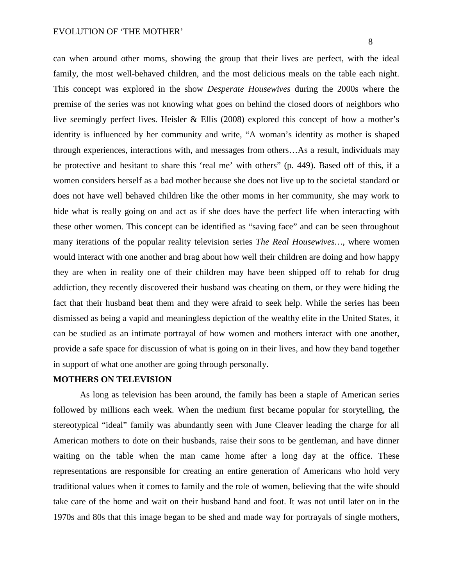can when around other moms, showing the group that their lives are perfect, with the ideal family, the most well-behaved children, and the most delicious meals on the table each night. This concept was explored in the show *Desperate Housewives* during the 2000s where the premise of the series was not knowing what goes on behind the closed doors of neighbors who live seemingly perfect lives. Heisler & Ellis (2008) explored this concept of how a mother's identity is influenced by her community and write, "A woman's identity as mother is shaped through experiences, interactions with, and messages from others…As a result, individuals may be protective and hesitant to share this 'real me' with others" (p. 449). Based off of this, if a women considers herself as a bad mother because she does not live up to the societal standard or does not have well behaved children like the other moms in her community, she may work to hide what is really going on and act as if she does have the perfect life when interacting with these other women. This concept can be identified as "saving face" and can be seen throughout many iterations of the popular reality television series *The Real Housewives…*, where women would interact with one another and brag about how well their children are doing and how happy they are when in reality one of their children may have been shipped off to rehab for drug addiction, they recently discovered their husband was cheating on them, or they were hiding the fact that their husband beat them and they were afraid to seek help. While the series has been dismissed as being a vapid and meaningless depiction of the wealthy elite in the United States, it can be studied as an intimate portrayal of how women and mothers interact with one another, provide a safe space for discussion of what is going on in their lives, and how they band together in support of what one another are going through personally.

## **MOTHERS ON TELEVISION**

As long as television has been around, the family has been a staple of American series followed by millions each week. When the medium first became popular for storytelling, the stereotypical "ideal" family was abundantly seen with June Cleaver leading the charge for all American mothers to dote on their husbands, raise their sons to be gentleman, and have dinner waiting on the table when the man came home after a long day at the office. These representations are responsible for creating an entire generation of Americans who hold very traditional values when it comes to family and the role of women, believing that the wife should take care of the home and wait on their husband hand and foot. It was not until later on in the 1970s and 80s that this image began to be shed and made way for portrayals of single mothers,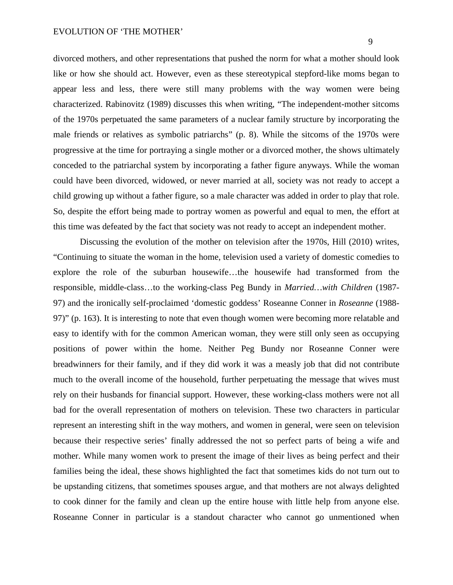divorced mothers, and other representations that pushed the norm for what a mother should look like or how she should act. However, even as these stereotypical stepford-like moms began to appear less and less, there were still many problems with the way women were being characterized. Rabinovitz (1989) discusses this when writing, "The independent-mother sitcoms of the 1970s perpetuated the same parameters of a nuclear family structure by incorporating the male friends or relatives as symbolic patriarchs" (p. 8). While the sitcoms of the 1970s were progressive at the time for portraying a single mother or a divorced mother, the shows ultimately conceded to the patriarchal system by incorporating a father figure anyways. While the woman could have been divorced, widowed, or never married at all, society was not ready to accept a child growing up without a father figure, so a male character was added in order to play that role. So, despite the effort being made to portray women as powerful and equal to men, the effort at this time was defeated by the fact that society was not ready to accept an independent mother.

Discussing the evolution of the mother on television after the 1970s, Hill (2010) writes, "Continuing to situate the woman in the home, television used a variety of domestic comedies to explore the role of the suburban housewife…the housewife had transformed from the responsible, middle-class…to the working-class Peg Bundy in *Married…with Children* (1987- 97) and the ironically self-proclaimed 'domestic goddess' Roseanne Conner in *Roseanne* (1988- 97)" (p. 163). It is interesting to note that even though women were becoming more relatable and easy to identify with for the common American woman, they were still only seen as occupying positions of power within the home. Neither Peg Bundy nor Roseanne Conner were breadwinners for their family, and if they did work it was a measly job that did not contribute much to the overall income of the household, further perpetuating the message that wives must rely on their husbands for financial support. However, these working-class mothers were not all bad for the overall representation of mothers on television. These two characters in particular represent an interesting shift in the way mothers, and women in general, were seen on television because their respective series' finally addressed the not so perfect parts of being a wife and mother. While many women work to present the image of their lives as being perfect and their families being the ideal, these shows highlighted the fact that sometimes kids do not turn out to be upstanding citizens, that sometimes spouses argue, and that mothers are not always delighted to cook dinner for the family and clean up the entire house with little help from anyone else. Roseanne Conner in particular is a standout character who cannot go unmentioned when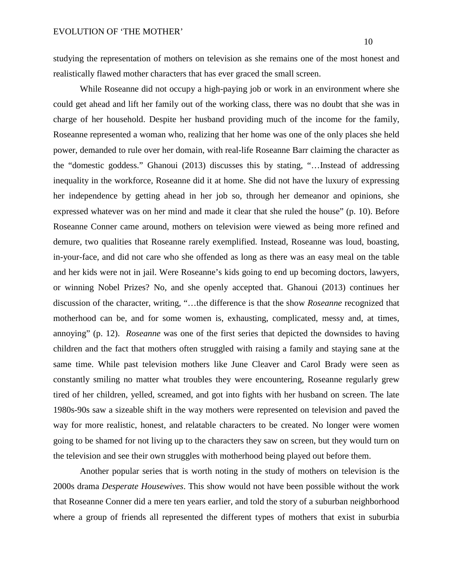studying the representation of mothers on television as she remains one of the most honest and realistically flawed mother characters that has ever graced the small screen.

While Roseanne did not occupy a high-paying job or work in an environment where she could get ahead and lift her family out of the working class, there was no doubt that she was in charge of her household. Despite her husband providing much of the income for the family, Roseanne represented a woman who, realizing that her home was one of the only places she held power, demanded to rule over her domain, with real-life Roseanne Barr claiming the character as the "domestic goddess." Ghanoui (2013) discusses this by stating, "…Instead of addressing inequality in the workforce, Roseanne did it at home. She did not have the luxury of expressing her independence by getting ahead in her job so, through her demeanor and opinions, she expressed whatever was on her mind and made it clear that she ruled the house" (p. 10). Before Roseanne Conner came around, mothers on television were viewed as being more refined and demure, two qualities that Roseanne rarely exemplified. Instead, Roseanne was loud, boasting, in-your-face, and did not care who she offended as long as there was an easy meal on the table and her kids were not in jail. Were Roseanne's kids going to end up becoming doctors, lawyers, or winning Nobel Prizes? No, and she openly accepted that. Ghanoui (2013) continues her discussion of the character, writing, "…the difference is that the show *Roseanne* recognized that motherhood can be, and for some women is, exhausting, complicated, messy and, at times, annoying" (p. 12). *Roseanne* was one of the first series that depicted the downsides to having children and the fact that mothers often struggled with raising a family and staying sane at the same time. While past television mothers like June Cleaver and Carol Brady were seen as constantly smiling no matter what troubles they were encountering, Roseanne regularly grew tired of her children, yelled, screamed, and got into fights with her husband on screen. The late 1980s-90s saw a sizeable shift in the way mothers were represented on television and paved the way for more realistic, honest, and relatable characters to be created. No longer were women going to be shamed for not living up to the characters they saw on screen, but they would turn on the television and see their own struggles with motherhood being played out before them.

Another popular series that is worth noting in the study of mothers on television is the 2000s drama *Desperate Housewives*. This show would not have been possible without the work that Roseanne Conner did a mere ten years earlier, and told the story of a suburban neighborhood where a group of friends all represented the different types of mothers that exist in suburbia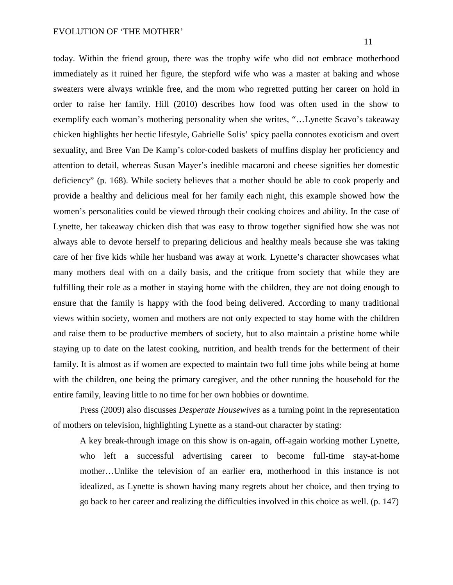today. Within the friend group, there was the trophy wife who did not embrace motherhood immediately as it ruined her figure, the stepford wife who was a master at baking and whose sweaters were always wrinkle free, and the mom who regretted putting her career on hold in order to raise her family. Hill (2010) describes how food was often used in the show to exemplify each woman's mothering personality when she writes, "…Lynette Scavo's takeaway chicken highlights her hectic lifestyle, Gabrielle Solis' spicy paella connotes exoticism and overt sexuality, and Bree Van De Kamp's color-coded baskets of muffins display her proficiency and attention to detail, whereas Susan Mayer's inedible macaroni and cheese signifies her domestic deficiency" (p. 168). While society believes that a mother should be able to cook properly and provide a healthy and delicious meal for her family each night, this example showed how the women's personalities could be viewed through their cooking choices and ability. In the case of Lynette, her takeaway chicken dish that was easy to throw together signified how she was not always able to devote herself to preparing delicious and healthy meals because she was taking care of her five kids while her husband was away at work. Lynette's character showcases what many mothers deal with on a daily basis, and the critique from society that while they are fulfilling their role as a mother in staying home with the children, they are not doing enough to ensure that the family is happy with the food being delivered. According to many traditional views within society, women and mothers are not only expected to stay home with the children and raise them to be productive members of society, but to also maintain a pristine home while staying up to date on the latest cooking, nutrition, and health trends for the betterment of their family. It is almost as if women are expected to maintain two full time jobs while being at home with the children, one being the primary caregiver, and the other running the household for the entire family, leaving little to no time for her own hobbies or downtime.

Press (2009) also discusses *Desperate Housewives* as a turning point in the representation of mothers on television, highlighting Lynette as a stand-out character by stating:

A key break-through image on this show is on-again, off-again working mother Lynette, who left a successful advertising career to become full-time stay-at-home mother…Unlike the television of an earlier era, motherhood in this instance is not idealized, as Lynette is shown having many regrets about her choice, and then trying to go back to her career and realizing the difficulties involved in this choice as well. (p. 147)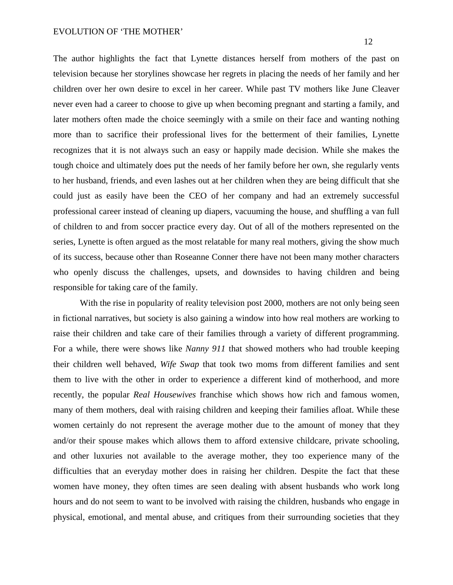The author highlights the fact that Lynette distances herself from mothers of the past on television because her storylines showcase her regrets in placing the needs of her family and her children over her own desire to excel in her career. While past TV mothers like June Cleaver never even had a career to choose to give up when becoming pregnant and starting a family, and later mothers often made the choice seemingly with a smile on their face and wanting nothing more than to sacrifice their professional lives for the betterment of their families, Lynette recognizes that it is not always such an easy or happily made decision. While she makes the tough choice and ultimately does put the needs of her family before her own, she regularly vents to her husband, friends, and even lashes out at her children when they are being difficult that she could just as easily have been the CEO of her company and had an extremely successful professional career instead of cleaning up diapers, vacuuming the house, and shuffling a van full of children to and from soccer practice every day. Out of all of the mothers represented on the series, Lynette is often argued as the most relatable for many real mothers, giving the show much of its success, because other than Roseanne Conner there have not been many mother characters who openly discuss the challenges, upsets, and downsides to having children and being responsible for taking care of the family.

With the rise in popularity of reality television post 2000, mothers are not only being seen in fictional narratives, but society is also gaining a window into how real mothers are working to raise their children and take care of their families through a variety of different programming. For a while, there were shows like *Nanny 911* that showed mothers who had trouble keeping their children well behaved, *Wife Swap* that took two moms from different families and sent them to live with the other in order to experience a different kind of motherhood, and more recently, the popular *Real Housewives* franchise which shows how rich and famous women, many of them mothers, deal with raising children and keeping their families afloat. While these women certainly do not represent the average mother due to the amount of money that they and/or their spouse makes which allows them to afford extensive childcare, private schooling, and other luxuries not available to the average mother, they too experience many of the difficulties that an everyday mother does in raising her children. Despite the fact that these women have money, they often times are seen dealing with absent husbands who work long hours and do not seem to want to be involved with raising the children, husbands who engage in physical, emotional, and mental abuse, and critiques from their surrounding societies that they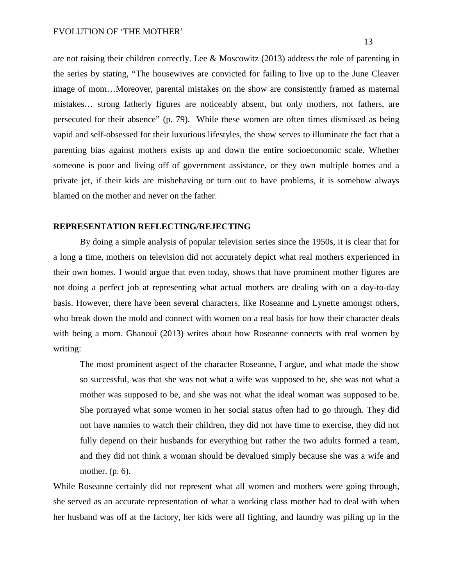are not raising their children correctly. Lee & Moscowitz (2013) address the role of parenting in the series by stating, "The housewives are convicted for failing to live up to the June Cleaver image of mom…Moreover, parental mistakes on the show are consistently framed as maternal mistakes… strong fatherly figures are noticeably absent, but only mothers, not fathers, are persecuted for their absence" (p. 79). While these women are often times dismissed as being vapid and self-obsessed for their luxurious lifestyles, the show serves to illuminate the fact that a parenting bias against mothers exists up and down the entire socioeconomic scale. Whether someone is poor and living off of government assistance, or they own multiple homes and a private jet, if their kids are misbehaving or turn out to have problems, it is somehow always blamed on the mother and never on the father.

#### **REPRESENTATION REFLECTING/REJECTING**

By doing a simple analysis of popular television series since the 1950s, it is clear that for a long a time, mothers on television did not accurately depict what real mothers experienced in their own homes. I would argue that even today, shows that have prominent mother figures are not doing a perfect job at representing what actual mothers are dealing with on a day-to-day basis. However, there have been several characters, like Roseanne and Lynette amongst others, who break down the mold and connect with women on a real basis for how their character deals with being a mom. Ghanoui (2013) writes about how Roseanne connects with real women by writing:

The most prominent aspect of the character Roseanne, I argue, and what made the show so successful, was that she was not what a wife was supposed to be, she was not what a mother was supposed to be, and she was not what the ideal woman was supposed to be. She portrayed what some women in her social status often had to go through. They did not have nannies to watch their children, they did not have time to exercise, they did not fully depend on their husbands for everything but rather the two adults formed a team, and they did not think a woman should be devalued simply because she was a wife and mother. (p. 6).

While Roseanne certainly did not represent what all women and mothers were going through, she served as an accurate representation of what a working class mother had to deal with when her husband was off at the factory, her kids were all fighting, and laundry was piling up in the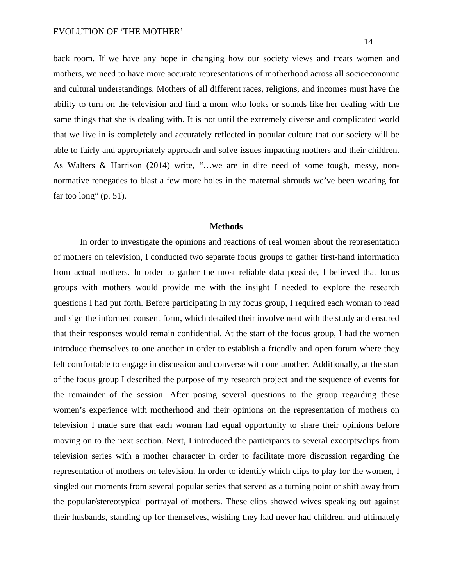back room. If we have any hope in changing how our society views and treats women and mothers, we need to have more accurate representations of motherhood across all socioeconomic and cultural understandings. Mothers of all different races, religions, and incomes must have the ability to turn on the television and find a mom who looks or sounds like her dealing with the same things that she is dealing with. It is not until the extremely diverse and complicated world that we live in is completely and accurately reflected in popular culture that our society will be able to fairly and appropriately approach and solve issues impacting mothers and their children. As Walters & Harrison (2014) write, "…we are in dire need of some tough, messy, nonnormative renegades to blast a few more holes in the maternal shrouds we've been wearing for far too long"  $(p. 51)$ .

#### **Methods**

In order to investigate the opinions and reactions of real women about the representation of mothers on television, I conducted two separate focus groups to gather first-hand information from actual mothers. In order to gather the most reliable data possible, I believed that focus groups with mothers would provide me with the insight I needed to explore the research questions I had put forth. Before participating in my focus group, I required each woman to read and sign the informed consent form, which detailed their involvement with the study and ensured that their responses would remain confidential. At the start of the focus group, I had the women introduce themselves to one another in order to establish a friendly and open forum where they felt comfortable to engage in discussion and converse with one another. Additionally, at the start of the focus group I described the purpose of my research project and the sequence of events for the remainder of the session. After posing several questions to the group regarding these women's experience with motherhood and their opinions on the representation of mothers on television I made sure that each woman had equal opportunity to share their opinions before moving on to the next section. Next, I introduced the participants to several excerpts/clips from television series with a mother character in order to facilitate more discussion regarding the representation of mothers on television. In order to identify which clips to play for the women, I singled out moments from several popular series that served as a turning point or shift away from the popular/stereotypical portrayal of mothers. These clips showed wives speaking out against their husbands, standing up for themselves, wishing they had never had children, and ultimately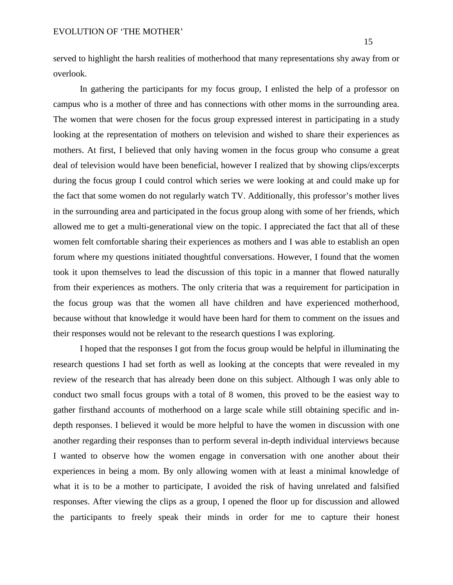served to highlight the harsh realities of motherhood that many representations shy away from or overlook.

In gathering the participants for my focus group, I enlisted the help of a professor on campus who is a mother of three and has connections with other moms in the surrounding area. The women that were chosen for the focus group expressed interest in participating in a study looking at the representation of mothers on television and wished to share their experiences as mothers. At first, I believed that only having women in the focus group who consume a great deal of television would have been beneficial, however I realized that by showing clips/excerpts during the focus group I could control which series we were looking at and could make up for the fact that some women do not regularly watch TV. Additionally, this professor's mother lives in the surrounding area and participated in the focus group along with some of her friends, which allowed me to get a multi-generational view on the topic. I appreciated the fact that all of these women felt comfortable sharing their experiences as mothers and I was able to establish an open forum where my questions initiated thoughtful conversations. However, I found that the women took it upon themselves to lead the discussion of this topic in a manner that flowed naturally from their experiences as mothers. The only criteria that was a requirement for participation in the focus group was that the women all have children and have experienced motherhood, because without that knowledge it would have been hard for them to comment on the issues and their responses would not be relevant to the research questions I was exploring.

I hoped that the responses I got from the focus group would be helpful in illuminating the research questions I had set forth as well as looking at the concepts that were revealed in my review of the research that has already been done on this subject. Although I was only able to conduct two small focus groups with a total of 8 women, this proved to be the easiest way to gather firsthand accounts of motherhood on a large scale while still obtaining specific and indepth responses. I believed it would be more helpful to have the women in discussion with one another regarding their responses than to perform several in-depth individual interviews because I wanted to observe how the women engage in conversation with one another about their experiences in being a mom. By only allowing women with at least a minimal knowledge of what it is to be a mother to participate, I avoided the risk of having unrelated and falsified responses. After viewing the clips as a group, I opened the floor up for discussion and allowed the participants to freely speak their minds in order for me to capture their honest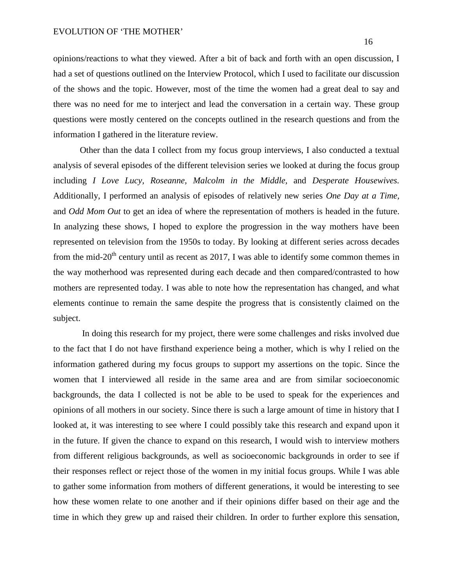opinions/reactions to what they viewed. After a bit of back and forth with an open discussion, I had a set of questions outlined on the Interview Protocol, which I used to facilitate our discussion of the shows and the topic. However, most of the time the women had a great deal to say and there was no need for me to interject and lead the conversation in a certain way. These group questions were mostly centered on the concepts outlined in the research questions and from the information I gathered in the literature review.

Other than the data I collect from my focus group interviews, I also conducted a textual analysis of several episodes of the different television series we looked at during the focus group including *I Love Lucy, Roseanne, Malcolm in the Middle,* and *Desperate Housewives.*  Additionally, I performed an analysis of episodes of relatively new series *One Day at a Time,*  and *Odd Mom Out* to get an idea of where the representation of mothers is headed in the future. In analyzing these shows, I hoped to explore the progression in the way mothers have been represented on television from the 1950s to today. By looking at different series across decades from the mid-20<sup>th</sup> century until as recent as 2017, I was able to identify some common themes in the way motherhood was represented during each decade and then compared/contrasted to how mothers are represented today. I was able to note how the representation has changed, and what elements continue to remain the same despite the progress that is consistently claimed on the subject.

In doing this research for my project, there were some challenges and risks involved due to the fact that I do not have firsthand experience being a mother, which is why I relied on the information gathered during my focus groups to support my assertions on the topic. Since the women that I interviewed all reside in the same area and are from similar socioeconomic backgrounds, the data I collected is not be able to be used to speak for the experiences and opinions of all mothers in our society. Since there is such a large amount of time in history that I looked at, it was interesting to see where I could possibly take this research and expand upon it in the future. If given the chance to expand on this research, I would wish to interview mothers from different religious backgrounds, as well as socioeconomic backgrounds in order to see if their responses reflect or reject those of the women in my initial focus groups. While I was able to gather some information from mothers of different generations, it would be interesting to see how these women relate to one another and if their opinions differ based on their age and the time in which they grew up and raised their children. In order to further explore this sensation,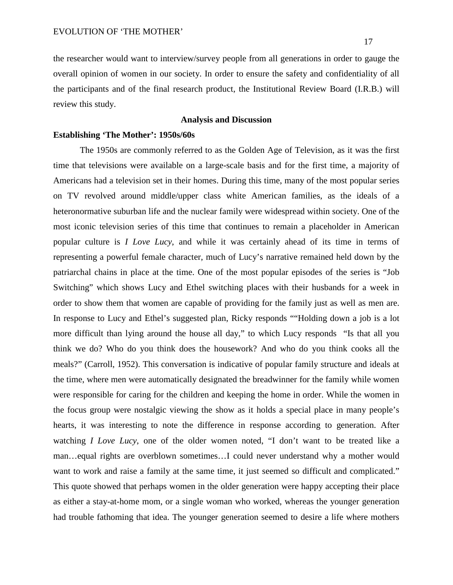17

the researcher would want to interview/survey people from all generations in order to gauge the overall opinion of women in our society. In order to ensure the safety and confidentiality of all the participants and of the final research product, the Institutional Review Board (I.R.B.) will review this study.

## **Analysis and Discussion**

## **Establishing 'The Mother': 1950s/60s**

The 1950s are commonly referred to as the Golden Age of Television, as it was the first time that televisions were available on a large-scale basis and for the first time, a majority of Americans had a television set in their homes. During this time, many of the most popular series on TV revolved around middle/upper class white American families, as the ideals of a heteronormative suburban life and the nuclear family were widespread within society. One of the most iconic television series of this time that continues to remain a placeholder in American popular culture is *I Love Lucy*, and while it was certainly ahead of its time in terms of representing a powerful female character, much of Lucy's narrative remained held down by the patriarchal chains in place at the time. One of the most popular episodes of the series is "Job Switching" which shows Lucy and Ethel switching places with their husbands for a week in order to show them that women are capable of providing for the family just as well as men are. In response to Lucy and Ethel's suggested plan, Ricky responds ""Holding down a job is a lot more difficult than lying around the house all day," to which Lucy responds "Is that all you think we do? Who do you think does the housework? And who do you think cooks all the meals?" (Carroll, 1952). This conversation is indicative of popular family structure and ideals at the time, where men were automatically designated the breadwinner for the family while women were responsible for caring for the children and keeping the home in order. While the women in the focus group were nostalgic viewing the show as it holds a special place in many people's hearts, it was interesting to note the difference in response according to generation. After watching *I Love Lucy*, one of the older women noted, "I don't want to be treated like a man…equal rights are overblown sometimes…I could never understand why a mother would want to work and raise a family at the same time, it just seemed so difficult and complicated." This quote showed that perhaps women in the older generation were happy accepting their place as either a stay-at-home mom, or a single woman who worked, whereas the younger generation had trouble fathoming that idea. The younger generation seemed to desire a life where mothers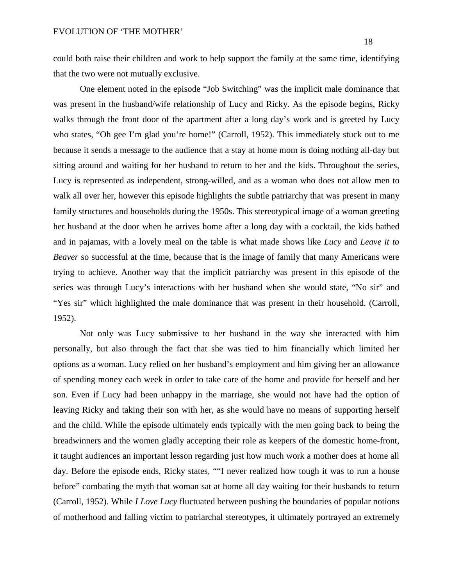could both raise their children and work to help support the family at the same time, identifying that the two were not mutually exclusive.

One element noted in the episode "Job Switching" was the implicit male dominance that was present in the husband/wife relationship of Lucy and Ricky. As the episode begins, Ricky walks through the front door of the apartment after a long day's work and is greeted by Lucy who states, "Oh gee I'm glad you're home!" (Carroll, 1952). This immediately stuck out to me because it sends a message to the audience that a stay at home mom is doing nothing all-day but sitting around and waiting for her husband to return to her and the kids. Throughout the series, Lucy is represented as independent, strong-willed, and as a woman who does not allow men to walk all over her, however this episode highlights the subtle patriarchy that was present in many family structures and households during the 1950s. This stereotypical image of a woman greeting her husband at the door when he arrives home after a long day with a cocktail, the kids bathed and in pajamas, with a lovely meal on the table is what made shows like *Lucy* and *Leave it to Beaver* so successful at the time, because that is the image of family that many Americans were trying to achieve. Another way that the implicit patriarchy was present in this episode of the series was through Lucy's interactions with her husband when she would state, "No sir" and "Yes sir" which highlighted the male dominance that was present in their household. (Carroll, 1952).

Not only was Lucy submissive to her husband in the way she interacted with him personally, but also through the fact that she was tied to him financially which limited her options as a woman. Lucy relied on her husband's employment and him giving her an allowance of spending money each week in order to take care of the home and provide for herself and her son. Even if Lucy had been unhappy in the marriage, she would not have had the option of leaving Ricky and taking their son with her, as she would have no means of supporting herself and the child. While the episode ultimately ends typically with the men going back to being the breadwinners and the women gladly accepting their role as keepers of the domestic home-front, it taught audiences an important lesson regarding just how much work a mother does at home all day. Before the episode ends, Ricky states, ""I never realized how tough it was to run a house before" combating the myth that woman sat at home all day waiting for their husbands to return (Carroll, 1952). While *I Love Lucy* fluctuated between pushing the boundaries of popular notions of motherhood and falling victim to patriarchal stereotypes, it ultimately portrayed an extremely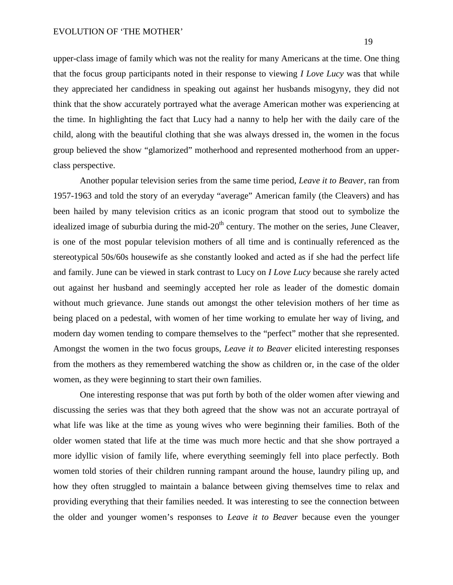### EVOLUTION OF 'THE MOTHER'

upper-class image of family which was not the reality for many Americans at the time. One thing that the focus group participants noted in their response to viewing *I Love Lucy* was that while they appreciated her candidness in speaking out against her husbands misogyny, they did not think that the show accurately portrayed what the average American mother was experiencing at the time. In highlighting the fact that Lucy had a nanny to help her with the daily care of the child, along with the beautiful clothing that she was always dressed in, the women in the focus group believed the show "glamorized" motherhood and represented motherhood from an upperclass perspective.

Another popular television series from the same time period, *Leave it to Beaver,* ran from 1957-1963 and told the story of an everyday "average" American family (the Cleavers) and has been hailed by many television critics as an iconic program that stood out to symbolize the idealized image of suburbia during the mid- $20<sup>th</sup>$  century. The mother on the series, June Cleaver, is one of the most popular television mothers of all time and is continually referenced as the stereotypical 50s/60s housewife as she constantly looked and acted as if she had the perfect life and family. June can be viewed in stark contrast to Lucy on *I Love Lucy* because she rarely acted out against her husband and seemingly accepted her role as leader of the domestic domain without much grievance. June stands out amongst the other television mothers of her time as being placed on a pedestal, with women of her time working to emulate her way of living, and modern day women tending to compare themselves to the "perfect" mother that she represented. Amongst the women in the two focus groups, *Leave it to Beaver* elicited interesting responses from the mothers as they remembered watching the show as children or, in the case of the older women, as they were beginning to start their own families.

One interesting response that was put forth by both of the older women after viewing and discussing the series was that they both agreed that the show was not an accurate portrayal of what life was like at the time as young wives who were beginning their families. Both of the older women stated that life at the time was much more hectic and that she show portrayed a more idyllic vision of family life, where everything seemingly fell into place perfectly. Both women told stories of their children running rampant around the house, laundry piling up, and how they often struggled to maintain a balance between giving themselves time to relax and providing everything that their families needed. It was interesting to see the connection between the older and younger women's responses to *Leave it to Beaver* because even the younger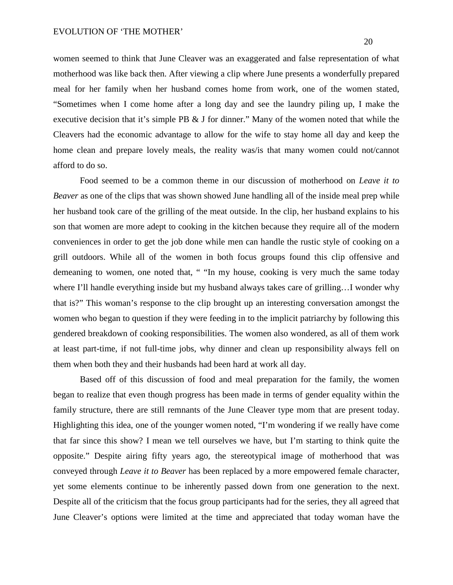women seemed to think that June Cleaver was an exaggerated and false representation of what motherhood was like back then. After viewing a clip where June presents a wonderfully prepared meal for her family when her husband comes home from work, one of the women stated, "Sometimes when I come home after a long day and see the laundry piling up, I make the executive decision that it's simple PB & J for dinner." Many of the women noted that while the Cleavers had the economic advantage to allow for the wife to stay home all day and keep the home clean and prepare lovely meals, the reality was/is that many women could not/cannot afford to do so.

Food seemed to be a common theme in our discussion of motherhood on *Leave it to Beaver* as one of the clips that was shown showed June handling all of the inside meal prep while her husband took care of the grilling of the meat outside. In the clip, her husband explains to his son that women are more adept to cooking in the kitchen because they require all of the modern conveniences in order to get the job done while men can handle the rustic style of cooking on a grill outdoors. While all of the women in both focus groups found this clip offensive and demeaning to women, one noted that, " "In my house, cooking is very much the same today where I'll handle everything inside but my husband always takes care of grilling...I wonder why that is?" This woman's response to the clip brought up an interesting conversation amongst the women who began to question if they were feeding in to the implicit patriarchy by following this gendered breakdown of cooking responsibilities. The women also wondered, as all of them work at least part-time, if not full-time jobs, why dinner and clean up responsibility always fell on them when both they and their husbands had been hard at work all day.

Based off of this discussion of food and meal preparation for the family, the women began to realize that even though progress has been made in terms of gender equality within the family structure, there are still remnants of the June Cleaver type mom that are present today. Highlighting this idea, one of the younger women noted, "I'm wondering if we really have come that far since this show? I mean we tell ourselves we have, but I'm starting to think quite the opposite." Despite airing fifty years ago, the stereotypical image of motherhood that was conveyed through *Leave it to Beaver* has been replaced by a more empowered female character, yet some elements continue to be inherently passed down from one generation to the next. Despite all of the criticism that the focus group participants had for the series, they all agreed that June Cleaver's options were limited at the time and appreciated that today woman have the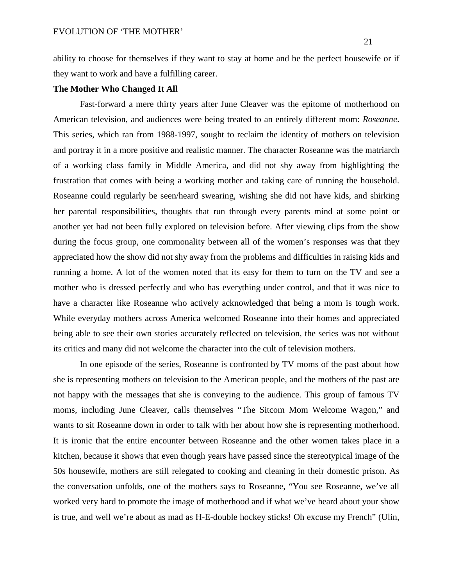ability to choose for themselves if they want to stay at home and be the perfect housewife or if they want to work and have a fulfilling career.

## **The Mother Who Changed It All**

Fast-forward a mere thirty years after June Cleaver was the epitome of motherhood on American television, and audiences were being treated to an entirely different mom: *Roseanne*. This series, which ran from 1988-1997, sought to reclaim the identity of mothers on television and portray it in a more positive and realistic manner. The character Roseanne was the matriarch of a working class family in Middle America, and did not shy away from highlighting the frustration that comes with being a working mother and taking care of running the household. Roseanne could regularly be seen/heard swearing, wishing she did not have kids, and shirking her parental responsibilities, thoughts that run through every parents mind at some point or another yet had not been fully explored on television before. After viewing clips from the show during the focus group, one commonality between all of the women's responses was that they appreciated how the show did not shy away from the problems and difficulties in raising kids and running a home. A lot of the women noted that its easy for them to turn on the TV and see a mother who is dressed perfectly and who has everything under control, and that it was nice to have a character like Roseanne who actively acknowledged that being a mom is tough work. While everyday mothers across America welcomed Roseanne into their homes and appreciated being able to see their own stories accurately reflected on television, the series was not without its critics and many did not welcome the character into the cult of television mothers.

In one episode of the series, Roseanne is confronted by TV moms of the past about how she is representing mothers on television to the American people, and the mothers of the past are not happy with the messages that she is conveying to the audience. This group of famous TV moms, including June Cleaver, calls themselves "The Sitcom Mom Welcome Wagon," and wants to sit Roseanne down in order to talk with her about how she is representing motherhood. It is ironic that the entire encounter between Roseanne and the other women takes place in a kitchen, because it shows that even though years have passed since the stereotypical image of the 50s housewife, mothers are still relegated to cooking and cleaning in their domestic prison. As the conversation unfolds, one of the mothers says to Roseanne, "You see Roseanne, we've all worked very hard to promote the image of motherhood and if what we've heard about your show is true, and well we're about as mad as H-E-double hockey sticks! Oh excuse my French" (Ulin,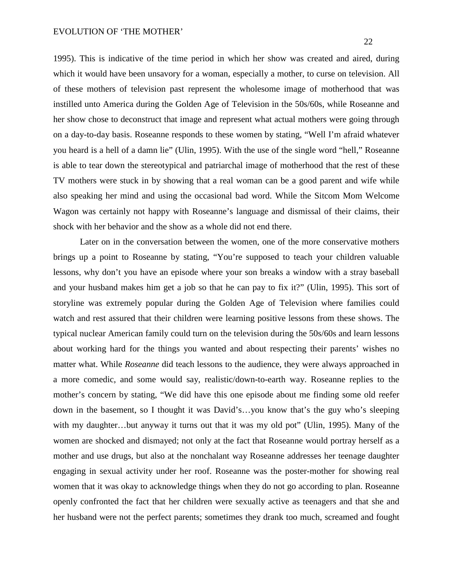1995). This is indicative of the time period in which her show was created and aired, during which it would have been unsavory for a woman, especially a mother, to curse on television. All of these mothers of television past represent the wholesome image of motherhood that was instilled unto America during the Golden Age of Television in the 50s/60s, while Roseanne and her show chose to deconstruct that image and represent what actual mothers were going through on a day-to-day basis. Roseanne responds to these women by stating, "Well I'm afraid whatever you heard is a hell of a damn lie" (Ulin, 1995). With the use of the single word "hell," Roseanne is able to tear down the stereotypical and patriarchal image of motherhood that the rest of these TV mothers were stuck in by showing that a real woman can be a good parent and wife while also speaking her mind and using the occasional bad word. While the Sitcom Mom Welcome Wagon was certainly not happy with Roseanne's language and dismissal of their claims, their shock with her behavior and the show as a whole did not end there.

Later on in the conversation between the women, one of the more conservative mothers brings up a point to Roseanne by stating, "You're supposed to teach your children valuable lessons, why don't you have an episode where your son breaks a window with a stray baseball and your husband makes him get a job so that he can pay to fix it?" (Ulin, 1995). This sort of storyline was extremely popular during the Golden Age of Television where families could watch and rest assured that their children were learning positive lessons from these shows. The typical nuclear American family could turn on the television during the 50s/60s and learn lessons about working hard for the things you wanted and about respecting their parents' wishes no matter what. While *Roseanne* did teach lessons to the audience, they were always approached in a more comedic, and some would say, realistic/down-to-earth way. Roseanne replies to the mother's concern by stating, "We did have this one episode about me finding some old reefer down in the basement, so I thought it was David's…you know that's the guy who's sleeping with my daughter…but anyway it turns out that it was my old pot" (Ulin, 1995). Many of the women are shocked and dismayed; not only at the fact that Roseanne would portray herself as a mother and use drugs, but also at the nonchalant way Roseanne addresses her teenage daughter engaging in sexual activity under her roof. Roseanne was the poster-mother for showing real women that it was okay to acknowledge things when they do not go according to plan. Roseanne openly confronted the fact that her children were sexually active as teenagers and that she and her husband were not the perfect parents; sometimes they drank too much, screamed and fought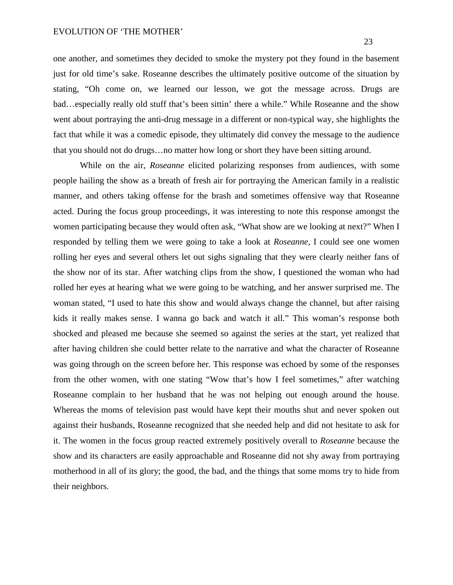### EVOLUTION OF 'THE MOTHER'

one another, and sometimes they decided to smoke the mystery pot they found in the basement just for old time's sake. Roseanne describes the ultimately positive outcome of the situation by stating, "Oh come on, we learned our lesson, we got the message across. Drugs are bad…especially really old stuff that's been sittin' there a while." While Roseanne and the show went about portraying the anti-drug message in a different or non-typical way, she highlights the fact that while it was a comedic episode, they ultimately did convey the message to the audience that you should not do drugs…no matter how long or short they have been sitting around.

While on the air, *Roseanne* elicited polarizing responses from audiences, with some people hailing the show as a breath of fresh air for portraying the American family in a realistic manner, and others taking offense for the brash and sometimes offensive way that Roseanne acted. During the focus group proceedings, it was interesting to note this response amongst the women participating because they would often ask, "What show are we looking at next?" When I responded by telling them we were going to take a look at *Roseanne*, I could see one women rolling her eyes and several others let out sighs signaling that they were clearly neither fans of the show nor of its star. After watching clips from the show, I questioned the woman who had rolled her eyes at hearing what we were going to be watching, and her answer surprised me. The woman stated, "I used to hate this show and would always change the channel, but after raising kids it really makes sense. I wanna go back and watch it all." This woman's response both shocked and pleased me because she seemed so against the series at the start, yet realized that after having children she could better relate to the narrative and what the character of Roseanne was going through on the screen before her. This response was echoed by some of the responses from the other women, with one stating "Wow that's how I feel sometimes," after watching Roseanne complain to her husband that he was not helping out enough around the house. Whereas the moms of television past would have kept their mouths shut and never spoken out against their husbands, Roseanne recognized that she needed help and did not hesitate to ask for it. The women in the focus group reacted extremely positively overall to *Roseanne* because the show and its characters are easily approachable and Roseanne did not shy away from portraying motherhood in all of its glory; the good, the bad, and the things that some moms try to hide from their neighbors.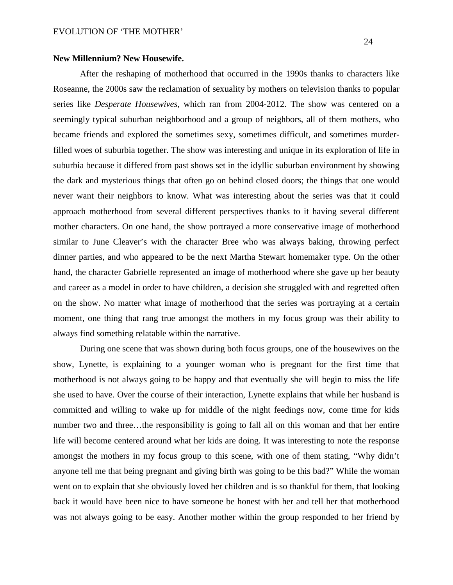## **New Millennium? New Housewife.**

After the reshaping of motherhood that occurred in the 1990s thanks to characters like Roseanne, the 2000s saw the reclamation of sexuality by mothers on television thanks to popular series like *Desperate Housewives,* which ran from 2004-2012. The show was centered on a seemingly typical suburban neighborhood and a group of neighbors, all of them mothers, who became friends and explored the sometimes sexy, sometimes difficult, and sometimes murderfilled woes of suburbia together. The show was interesting and unique in its exploration of life in suburbia because it differed from past shows set in the idyllic suburban environment by showing the dark and mysterious things that often go on behind closed doors; the things that one would never want their neighbors to know. What was interesting about the series was that it could approach motherhood from several different perspectives thanks to it having several different mother characters. On one hand, the show portrayed a more conservative image of motherhood similar to June Cleaver's with the character Bree who was always baking, throwing perfect dinner parties, and who appeared to be the next Martha Stewart homemaker type. On the other hand, the character Gabrielle represented an image of motherhood where she gave up her beauty and career as a model in order to have children, a decision she struggled with and regretted often on the show. No matter what image of motherhood that the series was portraying at a certain moment, one thing that rang true amongst the mothers in my focus group was their ability to always find something relatable within the narrative.

During one scene that was shown during both focus groups, one of the housewives on the show, Lynette, is explaining to a younger woman who is pregnant for the first time that motherhood is not always going to be happy and that eventually she will begin to miss the life she used to have. Over the course of their interaction, Lynette explains that while her husband is committed and willing to wake up for middle of the night feedings now, come time for kids number two and three…the responsibility is going to fall all on this woman and that her entire life will become centered around what her kids are doing. It was interesting to note the response amongst the mothers in my focus group to this scene, with one of them stating, "Why didn't anyone tell me that being pregnant and giving birth was going to be this bad?" While the woman went on to explain that she obviously loved her children and is so thankful for them, that looking back it would have been nice to have someone be honest with her and tell her that motherhood was not always going to be easy. Another mother within the group responded to her friend by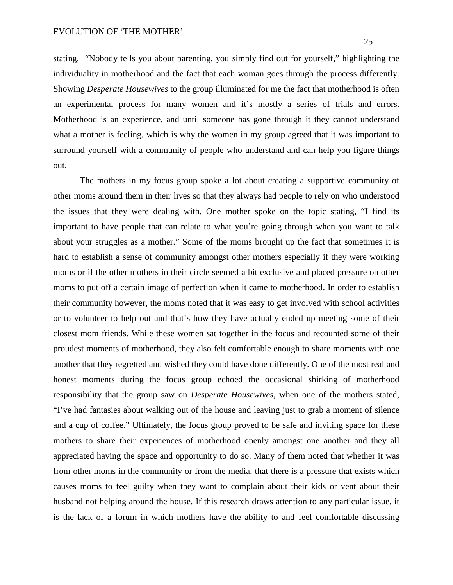#### EVOLUTION OF 'THE MOTHER'

stating, "Nobody tells you about parenting, you simply find out for yourself," highlighting the individuality in motherhood and the fact that each woman goes through the process differently. Showing *Desperate Housewives* to the group illuminated for me the fact that motherhood is often an experimental process for many women and it's mostly a series of trials and errors. Motherhood is an experience, and until someone has gone through it they cannot understand what a mother is feeling, which is why the women in my group agreed that it was important to surround yourself with a community of people who understand and can help you figure things out.

The mothers in my focus group spoke a lot about creating a supportive community of other moms around them in their lives so that they always had people to rely on who understood the issues that they were dealing with. One mother spoke on the topic stating, "I find its important to have people that can relate to what you're going through when you want to talk about your struggles as a mother." Some of the moms brought up the fact that sometimes it is hard to establish a sense of community amongst other mothers especially if they were working moms or if the other mothers in their circle seemed a bit exclusive and placed pressure on other moms to put off a certain image of perfection when it came to motherhood. In order to establish their community however, the moms noted that it was easy to get involved with school activities or to volunteer to help out and that's how they have actually ended up meeting some of their closest mom friends. While these women sat together in the focus and recounted some of their proudest moments of motherhood, they also felt comfortable enough to share moments with one another that they regretted and wished they could have done differently. One of the most real and honest moments during the focus group echoed the occasional shirking of motherhood responsibility that the group saw on *Desperate Housewives*, when one of the mothers stated, "I've had fantasies about walking out of the house and leaving just to grab a moment of silence and a cup of coffee." Ultimately, the focus group proved to be safe and inviting space for these mothers to share their experiences of motherhood openly amongst one another and they all appreciated having the space and opportunity to do so. Many of them noted that whether it was from other moms in the community or from the media, that there is a pressure that exists which causes moms to feel guilty when they want to complain about their kids or vent about their husband not helping around the house. If this research draws attention to any particular issue, it is the lack of a forum in which mothers have the ability to and feel comfortable discussing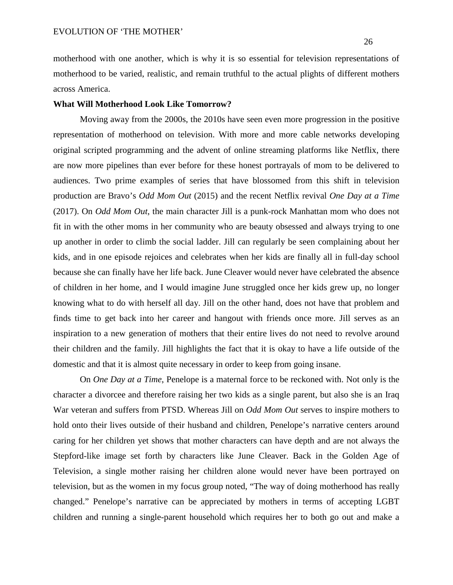motherhood with one another, which is why it is so essential for television representations of motherhood to be varied, realistic, and remain truthful to the actual plights of different mothers across America.

#### **What Will Motherhood Look Like Tomorrow?**

Moving away from the 2000s, the 2010s have seen even more progression in the positive representation of motherhood on television. With more and more cable networks developing original scripted programming and the advent of online streaming platforms like Netflix, there are now more pipelines than ever before for these honest portrayals of mom to be delivered to audiences. Two prime examples of series that have blossomed from this shift in television production are Bravo's *Odd Mom Out* (2015) and the recent Netflix revival *One Day at a Time* (2017). On *Odd Mom Out*, the main character Jill is a punk-rock Manhattan mom who does not fit in with the other moms in her community who are beauty obsessed and always trying to one up another in order to climb the social ladder. Jill can regularly be seen complaining about her kids, and in one episode rejoices and celebrates when her kids are finally all in full-day school because she can finally have her life back. June Cleaver would never have celebrated the absence of children in her home, and I would imagine June struggled once her kids grew up, no longer knowing what to do with herself all day. Jill on the other hand, does not have that problem and finds time to get back into her career and hangout with friends once more. Jill serves as an inspiration to a new generation of mothers that their entire lives do not need to revolve around their children and the family. Jill highlights the fact that it is okay to have a life outside of the domestic and that it is almost quite necessary in order to keep from going insane.

On *One Day at a Time*, Penelope is a maternal force to be reckoned with. Not only is the character a divorcee and therefore raising her two kids as a single parent, but also she is an Iraq War veteran and suffers from PTSD. Whereas Jill on *Odd Mom Out* serves to inspire mothers to hold onto their lives outside of their husband and children, Penelope's narrative centers around caring for her children yet shows that mother characters can have depth and are not always the Stepford-like image set forth by characters like June Cleaver. Back in the Golden Age of Television, a single mother raising her children alone would never have been portrayed on television, but as the women in my focus group noted, "The way of doing motherhood has really changed." Penelope's narrative can be appreciated by mothers in terms of accepting LGBT children and running a single-parent household which requires her to both go out and make a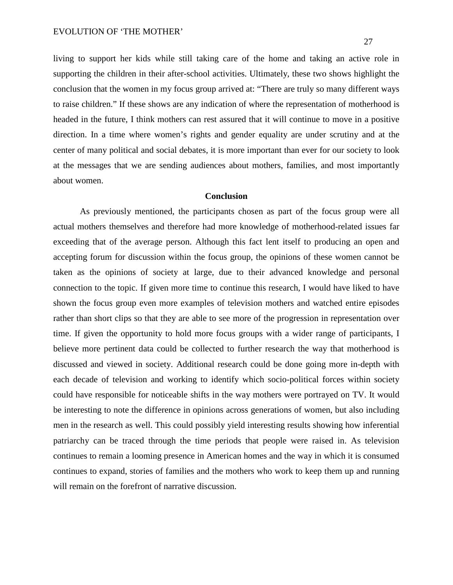living to support her kids while still taking care of the home and taking an active role in supporting the children in their after-school activities. Ultimately, these two shows highlight the conclusion that the women in my focus group arrived at: "There are truly so many different ways to raise children." If these shows are any indication of where the representation of motherhood is headed in the future, I think mothers can rest assured that it will continue to move in a positive direction. In a time where women's rights and gender equality are under scrutiny and at the center of many political and social debates, it is more important than ever for our society to look at the messages that we are sending audiences about mothers, families, and most importantly about women.

## **Conclusion**

As previously mentioned, the participants chosen as part of the focus group were all actual mothers themselves and therefore had more knowledge of motherhood-related issues far exceeding that of the average person. Although this fact lent itself to producing an open and accepting forum for discussion within the focus group, the opinions of these women cannot be taken as the opinions of society at large, due to their advanced knowledge and personal connection to the topic. If given more time to continue this research, I would have liked to have shown the focus group even more examples of television mothers and watched entire episodes rather than short clips so that they are able to see more of the progression in representation over time. If given the opportunity to hold more focus groups with a wider range of participants, I believe more pertinent data could be collected to further research the way that motherhood is discussed and viewed in society. Additional research could be done going more in-depth with each decade of television and working to identify which socio-political forces within society could have responsible for noticeable shifts in the way mothers were portrayed on TV. It would be interesting to note the difference in opinions across generations of women, but also including men in the research as well. This could possibly yield interesting results showing how inferential patriarchy can be traced through the time periods that people were raised in. As television continues to remain a looming presence in American homes and the way in which it is consumed continues to expand, stories of families and the mothers who work to keep them up and running will remain on the forefront of narrative discussion.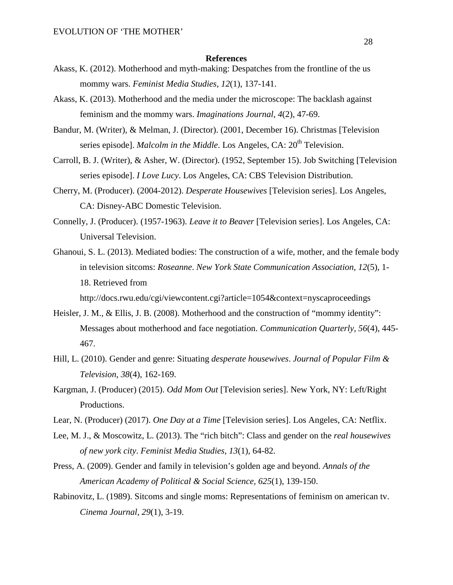#### **References**

- Akass, K. (2012). Motherhood and myth-making: Despatches from the frontline of the us mommy wars. *Feminist Media Studies, 12*(1), 137-141.
- Akass, K. (2013). Motherhood and the media under the microscope: The backlash against feminism and the mommy wars. *Imaginations Journal, 4*(2), 47-69.
- Bandur, M. (Writer), & Melman, J. (Director). (2001, December 16). Christmas [Television series episode]. *Malcolm in the Middle*. Los Angeles, CA: 20<sup>th</sup> Television.
- Carroll, B. J. (Writer), & Asher, W. (Director). (1952, September 15). Job Switching [Television series episode]. *I Love Lucy*. Los Angeles, CA: CBS Television Distribution.
- Cherry, M. (Producer). (2004-2012). *Desperate Housewives* [Television series]. Los Angeles, CA: Disney-ABC Domestic Television.
- Connelly, J. (Producer). (1957-1963). *Leave it to Beaver* [Television series]. Los Angeles, CA: Universal Television.
- Ghanoui, S. L. (2013). Mediated bodies: The construction of a wife, mother, and the female body in television sitcoms: *Roseanne*. *New York State Communication Association, 12*(5), 1- 18. Retrieved from

http://docs.rwu.edu/cgi/viewcontent.cgi?article=1054&context=nyscaproceedings

- Heisler, J. M., & Ellis, J. B. (2008). Motherhood and the construction of "mommy identity": Messages about motherhood and face negotiation. *Communication Quarterly, 56*(4), 445- 467.
- Hill, L. (2010). Gender and genre: Situating *desperate housewives*. *Journal of Popular Film & Television, 38*(4), 162-169.
- Kargman, J. (Producer) (2015). *Odd Mom Out* [Television series]. New York, NY: Left/Right Productions.
- Lear, N. (Producer) (2017). *One Day at a Time* [Television series]. Los Angeles, CA: Netflix.
- Lee, M. J., & Moscowitz, L. (2013). The "rich bitch": Class and gender on the *real housewives of new york city*. *Feminist Media Studies, 13*(1), 64-82.
- Press, A. (2009). Gender and family in television's golden age and beyond. *Annals of the American Academy of Political & Social Science, 625*(1), 139-150.
- Rabinovitz, L. (1989). Sitcoms and single moms: Representations of feminism on american tv. *Cinema Journal, 29*(1), 3-19.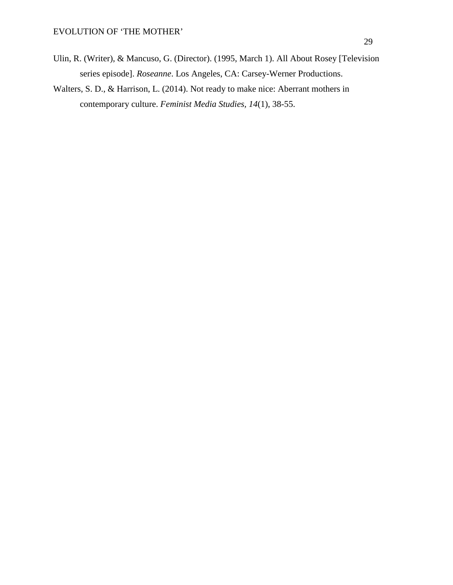- Ulin, R. (Writer), & Mancuso, G. (Director). (1995, March 1). All About Rosey [Television series episode]. *Roseanne*. Los Angeles, CA: Carsey-Werner Productions.
- Walters, S. D., & Harrison, L. (2014). Not ready to make nice: Aberrant mothers in contemporary culture. *Feminist Media Studies, 14*(1), 38-55.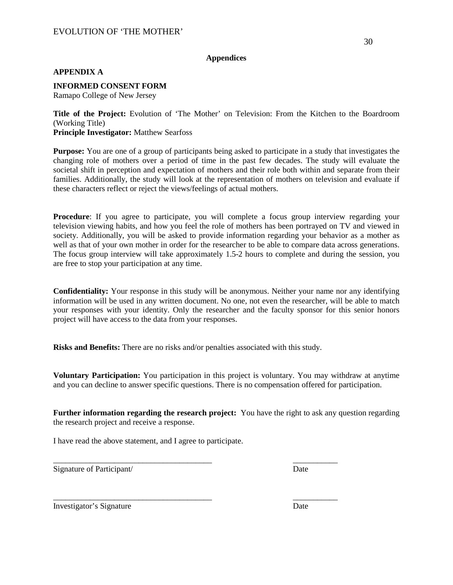## EVOLUTION OF 'THE MOTHER'

### **Appendices**

### **APPENDIX A**

**INFORMED CONSENT FORM**

Ramapo College of New Jersey

**Title of the Project:** Evolution of 'The Mother' on Television: From the Kitchen to the Boardroom (Working Title) **Principle Investigator:** Matthew Searfoss

**Purpose:** You are one of a group of participants being asked to participate in a study that investigates the changing role of mothers over a period of time in the past few decades. The study will evaluate the societal shift in perception and expectation of mothers and their role both within and separate from their families. Additionally, the study will look at the representation of mothers on television and evaluate if these characters reflect or reject the views/feelings of actual mothers.

**Procedure**: If you agree to participate, you will complete a focus group interview regarding your television viewing habits, and how you feel the role of mothers has been portrayed on TV and viewed in society. Additionally, you will be asked to provide information regarding your behavior as a mother as well as that of your own mother in order for the researcher to be able to compare data across generations. The focus group interview will take approximately 1.5-2 hours to complete and during the session, you are free to stop your participation at any time.

**Confidentiality:** Your response in this study will be anonymous. Neither your name nor any identifying information will be used in any written document. No one, not even the researcher, will be able to match your responses with your identity. Only the researcher and the faculty sponsor for this senior honors project will have access to the data from your responses.

**Risks and Benefits:** There are no risks and/or penalties associated with this study.

\_\_\_\_\_\_\_\_\_\_\_\_\_\_\_\_\_\_\_\_\_\_\_\_\_\_\_\_\_\_\_\_\_\_\_\_\_\_\_ \_\_\_\_\_\_\_\_\_\_\_

\_\_\_\_\_\_\_\_\_\_\_\_\_\_\_\_\_\_\_\_\_\_\_\_\_\_\_\_\_\_\_\_\_\_\_\_\_\_\_ \_\_\_\_\_\_\_\_\_\_\_

**Voluntary Participation:** You participation in this project is voluntary. You may withdraw at anytime and you can decline to answer specific questions. There is no compensation offered for participation.

**Further information regarding the research project:** You have the right to ask any question regarding the research project and receive a response.

I have read the above statement, and I agree to participate.

Signature of Participant/ Date

Investigator's Signature Date